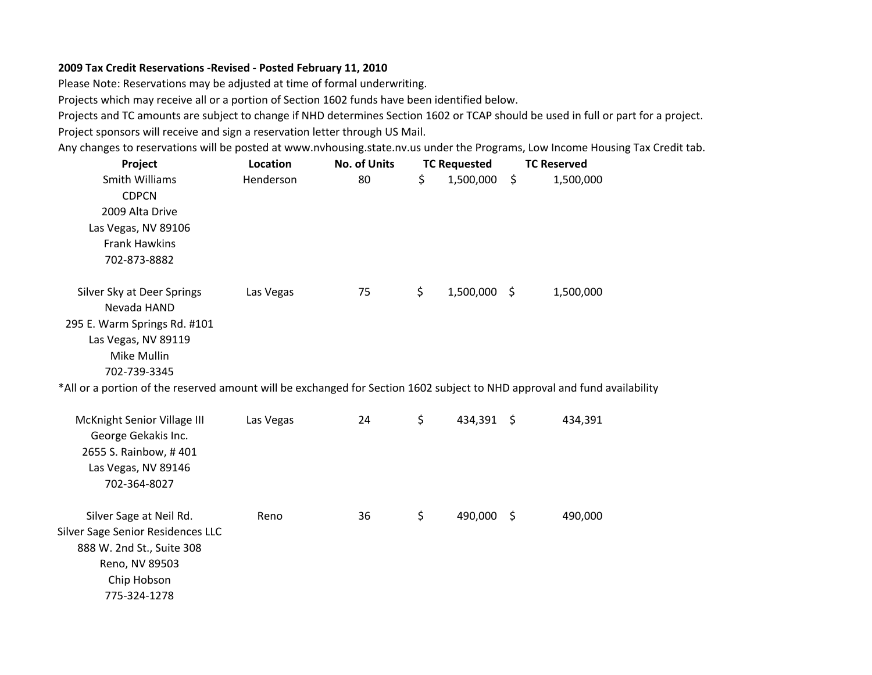## **2009 Tax Credit Reservations ‐Revised ‐ Posted February 11, 2010**

Please Note: Reservations may be adjusted at time of formal underwriting.

Projects which may receive all or <sup>a</sup> portion of Section 1602 funds have been identified below.

Projects and TC amounts are subject to change if NHD determines Section 1602 or TCAP should be used in full or part for <sup>a</sup> project. Project sponsors will receive and sign <sup>a</sup> reservation letter through US Mail.

Any changes to reservations will be posted at www.nvhousing.state.nv.us under the Programs, Low Income Housing Tax Credit tab.

| Project                                                                                                                                                                                                                                                      | Location  | <b>No. of Units</b> | <b>TC Requested</b> | <b>TC Reserved</b> |           |  |
|--------------------------------------------------------------------------------------------------------------------------------------------------------------------------------------------------------------------------------------------------------------|-----------|---------------------|---------------------|--------------------|-----------|--|
| Smith Williams<br><b>CDPCN</b><br>2009 Alta Drive<br>Las Vegas, NV 89106<br><b>Frank Hawkins</b><br>702-873-8882                                                                                                                                             | Henderson | 80                  | \$<br>1,500,000     | $\zeta$            | 1,500,000 |  |
| Silver Sky at Deer Springs<br>Nevada HAND<br>295 E. Warm Springs Rd. #101<br>Las Vegas, NV 89119<br>Mike Mullin<br>702-739-3345<br>*All or a portion of the reserved amount will be exchanged for Section 1602 subject to NHD approval and fund availability | Las Vegas | 75                  | \$<br>1,500,000 \$  |                    | 1,500,000 |  |
| McKnight Senior Village III<br>George Gekakis Inc.<br>2655 S. Rainbow, #401<br>Las Vegas, NV 89146<br>702-364-8027                                                                                                                                           | Las Vegas | 24                  | \$<br>434,391 \$    |                    | 434,391   |  |
| Silver Sage at Neil Rd.<br>Silver Sage Senior Residences LLC<br>888 W. 2nd St., Suite 308<br>Reno, NV 89503<br>Chip Hobson<br>775-324-1278                                                                                                                   | Reno      | 36                  | \$<br>490,000 \$    |                    | 490,000   |  |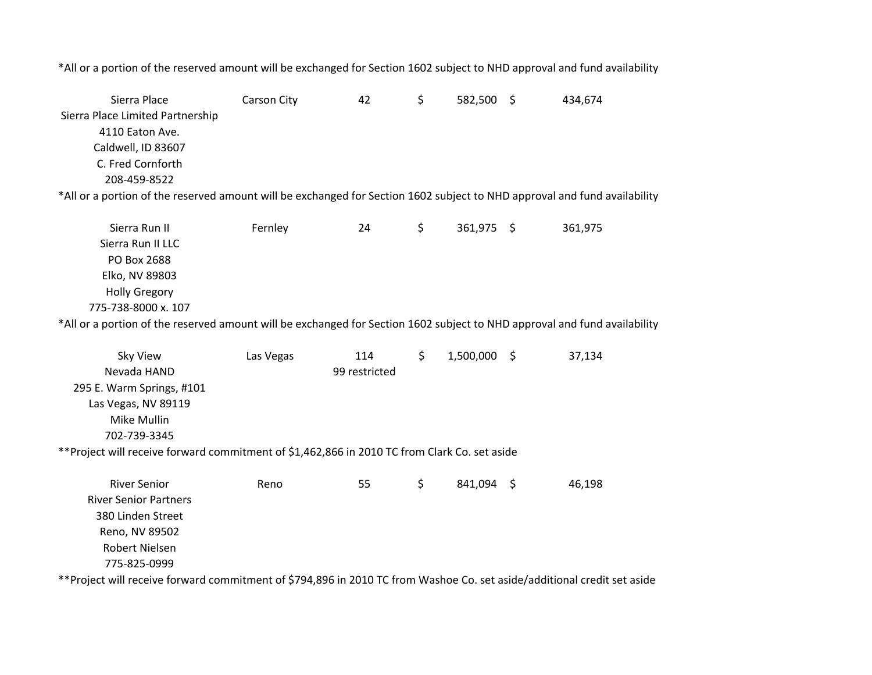\*All or a portion of the reserved amount will be exchanged for Section 1602 subject to NHD approval and fund availability

Sierra Place Carson City <sup>42</sup> 582,500 \$ \$ 434,674 Sierra Place Limited Partnership 4110 Eaton Ave. Caldwell, ID 83607 C. Fred Cornforth 208‐459‐8522\*All or a portion of the reserved amount will be exchanged for Section 1602 subject to NHD approval and fund availability Sierra Run $Fernlev$  24 \$ 361,975 \$ 361,975

| .                    | . |  |  | ------ |  |
|----------------------|---|--|--|--------|--|
| Sierra Run II LLC    |   |  |  |        |  |
| PO Box 2688          |   |  |  |        |  |
| Elko, NV 89803       |   |  |  |        |  |
| <b>Holly Gregory</b> |   |  |  |        |  |
| 775-738-8000 x. 107  |   |  |  |        |  |
|                      |   |  |  |        |  |

\*All or a portion of the reserved amount will be exchanged for Section 1602 subject to NHD approval and fund availability

| Sky View                                                                                                                | Las Vegas | 114           | \$<br>1,500,000 |     | 37,134 |
|-------------------------------------------------------------------------------------------------------------------------|-----------|---------------|-----------------|-----|--------|
| Nevada HAND                                                                                                             |           | 99 restricted |                 |     |        |
| 295 E. Warm Springs, #101                                                                                               |           |               |                 |     |        |
| Las Vegas, NV 89119                                                                                                     |           |               |                 |     |        |
| Mike Mullin                                                                                                             |           |               |                 |     |        |
| 702-739-3345                                                                                                            |           |               |                 |     |        |
| ** Project will receive forward commitment of \$1,462,866 in 2010 TC from Clark Co. set aside                           |           |               |                 |     |        |
|                                                                                                                         |           |               |                 |     |        |
| <b>River Senior</b>                                                                                                     | Reno      | 55            | \$<br>841,094   | - S | 46,198 |
| <b>River Senior Partners</b>                                                                                            |           |               |                 |     |        |
| 380 Linden Street                                                                                                       |           |               |                 |     |        |
| Reno, NV 89502                                                                                                          |           |               |                 |     |        |
| Robert Nielsen                                                                                                          |           |               |                 |     |        |
| 775-825-0999                                                                                                            |           |               |                 |     |        |
| **Project will receive forward commitment of \$794,896 in 2010 TC from Washoe Co. set aside/additional credit set aside |           |               |                 |     |        |